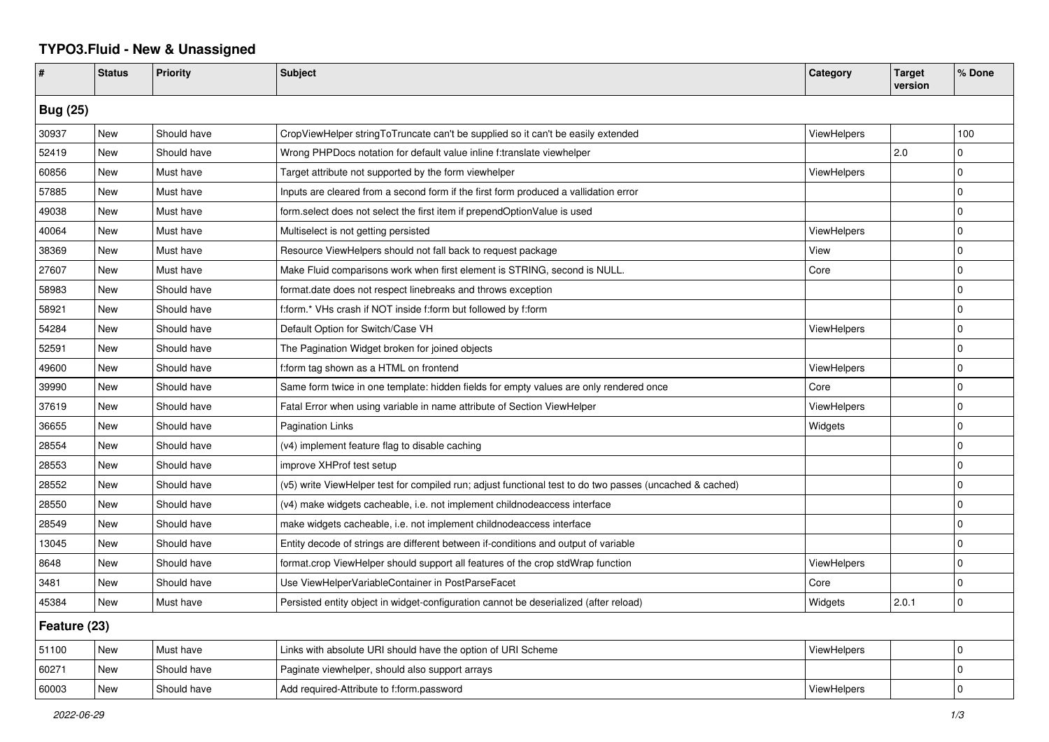## **TYPO3.Fluid - New & Unassigned**

| #               | <b>Status</b> | <b>Priority</b> | <b>Subject</b>                                                                                           | Category           | <b>Target</b><br>version | % Done      |  |  |
|-----------------|---------------|-----------------|----------------------------------------------------------------------------------------------------------|--------------------|--------------------------|-------------|--|--|
| <b>Bug (25)</b> |               |                 |                                                                                                          |                    |                          |             |  |  |
| 30937           | <b>New</b>    | Should have     | CropViewHelper stringToTruncate can't be supplied so it can't be easily extended                         | ViewHelpers        |                          | 100         |  |  |
| 52419           | New           | Should have     | Wrong PHPDocs notation for default value inline f:translate viewhelper                                   |                    | 2.0                      | $\mathbf 0$ |  |  |
| 60856           | New           | Must have       | Target attribute not supported by the form viewhelper                                                    | ViewHelpers        |                          | $\Omega$    |  |  |
| 57885           | New           | Must have       | Inputs are cleared from a second form if the first form produced a vallidation error                     |                    |                          | $\Omega$    |  |  |
| 49038           | New           | Must have       | form.select does not select the first item if prependOptionValue is used                                 |                    |                          | $\Omega$    |  |  |
| 40064           | New           | Must have       | Multiselect is not getting persisted                                                                     | ViewHelpers        |                          | $\Omega$    |  |  |
| 38369           | New           | Must have       | Resource ViewHelpers should not fall back to request package                                             | View               |                          | $\mathbf 0$ |  |  |
| 27607           | New           | Must have       | Make Fluid comparisons work when first element is STRING, second is NULL.                                | Core               |                          | $\mathbf 0$ |  |  |
| 58983           | New           | Should have     | format.date does not respect linebreaks and throws exception                                             |                    |                          | $\mathbf 0$ |  |  |
| 58921           | New           | Should have     | f:form.* VHs crash if NOT inside f:form but followed by f:form                                           |                    |                          | $\mathbf 0$ |  |  |
| 54284           | New           | Should have     | Default Option for Switch/Case VH                                                                        | <b>ViewHelpers</b> |                          | $\mathbf 0$ |  |  |
| 52591           | <b>New</b>    | Should have     | The Pagination Widget broken for joined objects                                                          |                    |                          | $\mathbf 0$ |  |  |
| 49600           | <b>New</b>    | Should have     | f:form tag shown as a HTML on frontend                                                                   | ViewHelpers        |                          | $\Omega$    |  |  |
| 39990           | New           | Should have     | Same form twice in one template: hidden fields for empty values are only rendered once                   | Core               |                          | $\Omega$    |  |  |
| 37619           | New           | Should have     | Fatal Error when using variable in name attribute of Section ViewHelper                                  | ViewHelpers        |                          | $\mathbf 0$ |  |  |
| 36655           | New           | Should have     | <b>Pagination Links</b>                                                                                  | Widgets            |                          | $\Omega$    |  |  |
| 28554           | New           | Should have     | (v4) implement feature flag to disable caching                                                           |                    |                          | $\Omega$    |  |  |
| 28553           | New           | Should have     | improve XHProf test setup                                                                                |                    |                          | $\Omega$    |  |  |
| 28552           | New           | Should have     | (v5) write ViewHelper test for compiled run; adjust functional test to do two passes (uncached & cached) |                    |                          | $\mathbf 0$ |  |  |
| 28550           | New           | Should have     | (v4) make widgets cacheable, i.e. not implement childnodeaccess interface                                |                    |                          | $\mathbf 0$ |  |  |
| 28549           | New           | Should have     | make widgets cacheable, i.e. not implement childnodeaccess interface                                     |                    |                          | $\mathbf 0$ |  |  |
| 13045           | New           | Should have     | Entity decode of strings are different between if-conditions and output of variable                      |                    |                          | $\mathbf 0$ |  |  |
| 8648            | <b>New</b>    | Should have     | format.crop ViewHelper should support all features of the crop stdWrap function                          | <b>ViewHelpers</b> |                          | $\mathbf 0$ |  |  |
| 3481            | New           | Should have     | Use ViewHelperVariableContainer in PostParseFacet                                                        | Core               |                          | $\Omega$    |  |  |
| 45384           | New           | Must have       | Persisted entity object in widget-configuration cannot be deserialized (after reload)                    | Widgets            | 2.0.1                    | $\mathbf 0$ |  |  |
| Feature (23)    |               |                 |                                                                                                          |                    |                          |             |  |  |
| 51100           | New           | Must have       | Links with absolute URI should have the option of URI Scheme                                             | <b>ViewHelpers</b> |                          | $\mathbf 0$ |  |  |
| 60271           | New           | Should have     | Paginate viewhelper, should also support arrays                                                          |                    |                          | 0           |  |  |
| 60003           | New           | Should have     | Add required-Attribute to f:form.password                                                                | ViewHelpers        |                          | $\Omega$    |  |  |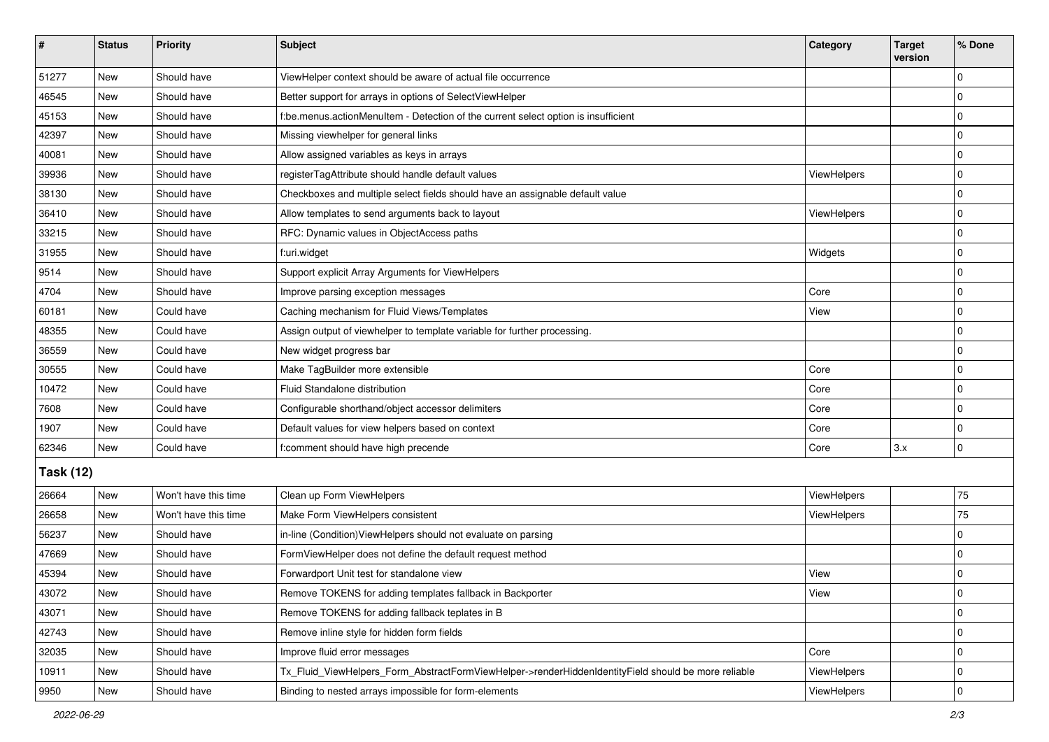| ∦                | <b>Status</b> | Priority             | <b>Subject</b>                                                                                      | Category    | <b>Target</b><br>version | % Done      |  |  |
|------------------|---------------|----------------------|-----------------------------------------------------------------------------------------------------|-------------|--------------------------|-------------|--|--|
| 51277            | New           | Should have          | ViewHelper context should be aware of actual file occurrence                                        |             |                          | $\Omega$    |  |  |
| 46545            | <b>New</b>    | Should have          | Better support for arrays in options of SelectViewHelper                                            |             |                          | $\Omega$    |  |  |
| 45153            | New           | Should have          | f:be.menus.actionMenuItem - Detection of the current select option is insufficient                  |             |                          | $\Omega$    |  |  |
| 42397            | <b>New</b>    | Should have          | Missing viewhelper for general links                                                                |             |                          | 0           |  |  |
| 40081            | New           | Should have          | Allow assigned variables as keys in arrays                                                          |             |                          | 0           |  |  |
| 39936            | New           | Should have          | registerTagAttribute should handle default values                                                   | ViewHelpers |                          | $\Omega$    |  |  |
| 38130            | <b>New</b>    | Should have          | Checkboxes and multiple select fields should have an assignable default value                       |             |                          | 0           |  |  |
| 36410            | New           | Should have          | Allow templates to send arguments back to layout                                                    | ViewHelpers |                          | 0           |  |  |
| 33215            | New           | Should have          | RFC: Dynamic values in ObjectAccess paths                                                           |             |                          | $\Omega$    |  |  |
| 31955            | New           | Should have          | f:uri.widget                                                                                        | Widgets     |                          | 0           |  |  |
| 9514             | New           | Should have          | Support explicit Array Arguments for ViewHelpers                                                    |             |                          | $\Omega$    |  |  |
| 4704             | <b>New</b>    | Should have          | Improve parsing exception messages                                                                  | Core        |                          | $\mathbf 0$ |  |  |
| 60181            | New           | Could have           | Caching mechanism for Fluid Views/Templates                                                         | View        |                          | 0           |  |  |
| 48355            | New           | Could have           | Assign output of viewhelper to template variable for further processing.                            |             |                          | $\Omega$    |  |  |
| 36559            | <b>New</b>    | Could have           | New widget progress bar                                                                             |             |                          | 0           |  |  |
| 30555            | New           | Could have           | Make TagBuilder more extensible                                                                     | Core        |                          | $\Omega$    |  |  |
| 10472            | <b>New</b>    | Could have           | Fluid Standalone distribution                                                                       | Core        |                          | 0           |  |  |
| 7608             | New           | Could have           | Configurable shorthand/object accessor delimiters                                                   | Core        |                          | $\Omega$    |  |  |
| 1907             | New           | Could have           | Default values for view helpers based on context                                                    | Core        |                          | $\Omega$    |  |  |
| 62346            | <b>New</b>    | Could have           | f:comment should have high precende                                                                 | Core        | 3.x                      | $\mathbf 0$ |  |  |
| <b>Task (12)</b> |               |                      |                                                                                                     |             |                          |             |  |  |
| 26664            | <b>New</b>    | Won't have this time | Clean up Form ViewHelpers                                                                           | ViewHelpers |                          | 75          |  |  |
| 26658            | <b>New</b>    | Won't have this time | Make Form ViewHelpers consistent                                                                    | ViewHelpers |                          | 75          |  |  |
| 56237            | New           | Should have          | in-line (Condition)ViewHelpers should not evaluate on parsing                                       |             |                          | $\Omega$    |  |  |
| 47669            | <b>New</b>    | Should have          | FormViewHelper does not define the default request method                                           |             |                          | $\Omega$    |  |  |
| 45394            | New           | Should have          | Forwardport Unit test for standalone view                                                           | View        |                          | 0           |  |  |
| 43072            | New           | Should have          | Remove TOKENS for adding templates fallback in Backporter                                           | View        |                          | U           |  |  |
| 43071            | <b>New</b>    | Should have          | Remove TOKENS for adding fallback teplates in B                                                     |             |                          | $\mathbf 0$ |  |  |
| 42743            | New           | Should have          | Remove inline style for hidden form fields                                                          |             |                          | 0           |  |  |
| 32035            | New           | Should have          | Improve fluid error messages                                                                        | Core        |                          | $\mathbf 0$ |  |  |
| 10911            | New           | Should have          | Tx_Fluid_ViewHelpers_Form_AbstractFormViewHelper->renderHiddenIdentityField should be more reliable | ViewHelpers |                          | 0           |  |  |
| 9950             | New           | Should have          | Binding to nested arrays impossible for form-elements                                               | ViewHelpers |                          | 0           |  |  |